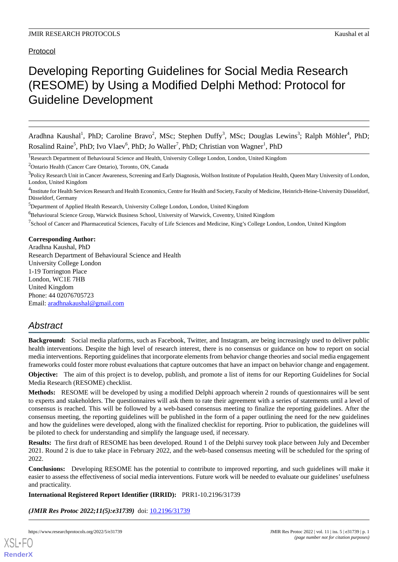Protocol

# Developing Reporting Guidelines for Social Media Research (RESOME) by Using a Modified Delphi Method: Protocol for Guideline Development

Aradhna Kaushal<sup>1</sup>, PhD; Caroline Bravo<sup>2</sup>, MSc; Stephen Duffy<sup>3</sup>, MSc; Douglas Lewins<sup>3</sup>; Ralph Möhler<sup>4</sup>, PhD; Rosalind Raine<sup>5</sup>, PhD; Ivo Vlaev<sup>6</sup>, PhD; Jo Waller<sup>7</sup>, PhD; Christian von Wagner<sup>1</sup>, PhD

<sup>1</sup>Research Department of Behavioural Science and Health, University College London, London, United Kingdom

<sup>2</sup>Ontario Health (Cancer Care Ontario), Toronto, ON, Canada

<sup>3</sup>Policy Research Unit in Cancer Awareness, Screening and Early Diagnosis, Wolfson Institute of Population Health, Queen Mary University of London, London, United Kingdom

<sup>5</sup>Department of Applied Health Research, University College London, London, United Kingdom

<sup>6</sup>Behavioural Science Group, Warwick Business School, University of Warwick, Coventry, United Kingdom

<sup>7</sup>School of Cancer and Pharmaceutical Sciences, Faculty of Life Sciences and Medicine, King's College London, London, United Kingdom

#### **Corresponding Author:**

Aradhna Kaushal, PhD Research Department of Behavioural Science and Health University College London 1-19 Torrington Place London, WC1E 7HB United Kingdom Phone: 44 02076705723 Email: [aradhnakaushal@gmail.com](mailto:aradhnakaushal@gmail.com)

# *Abstract*

**Background:** Social media platforms, such as Facebook, Twitter, and Instagram, are being increasingly used to deliver public health interventions. Despite the high level of research interest, there is no consensus or guidance on how to report on social media interventions. Reporting guidelines that incorporate elements from behavior change theories and social media engagement frameworks could foster more robust evaluations that capture outcomes that have an impact on behavior change and engagement.

**Objective:** The aim of this project is to develop, publish, and promote a list of items for our Reporting Guidelines for Social Media Research (RESOME) checklist.

**Methods:** RESOME will be developed by using a modified Delphi approach wherein 2 rounds of questionnaires will be sent to experts and stakeholders. The questionnaires will ask them to rate their agreement with a series of statements until a level of consensus is reached. This will be followed by a web-based consensus meeting to finalize the reporting guidelines. After the consensus meeting, the reporting guidelines will be published in the form of a paper outlining the need for the new guidelines and how the guidelines were developed, along with the finalized checklist for reporting. Prior to publication, the guidelines will be piloted to check for understanding and simplify the language used, if necessary.

**Results:** The first draft of RESOME has been developed. Round 1 of the Delphi survey took place between July and December 2021. Round 2 is due to take place in February 2022, and the web-based consensus meeting will be scheduled for the spring of 2022.

**Conclusions:** Developing RESOME has the potential to contribute to improved reporting, and such guidelines will make it easier to assess the effectiveness of social media interventions. Future work will be needed to evaluate our guidelines' usefulness and practicality.

#### **International Registered Report Identifier (IRRID):** PRR1-10.2196/31739

(JMIR Res Protoc 2022;11(5):e31739) doi: [10.2196/31739](http://dx.doi.org/10.2196/31739)

<sup>&</sup>lt;sup>4</sup>Institute for Health Services Research and Health Economics, Centre for Health and Society, Faculty of Medicine, Heinrich-Heine-University Düsseldorf, Düsseldorf, Germany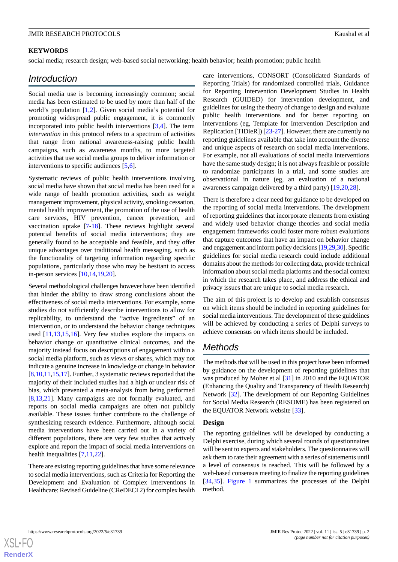#### **KEYWORDS**

social media; research design; web-based social networking; health behavior; health promotion; public health

## *Introduction*

Social media use is becoming increasingly common; social media has been estimated to be used by more than half of the world's population [[1](#page-7-0)[,2\]](#page-7-1). Given social media's potential for promoting widespread public engagement, it is commonly incorporated into public health interventions [\[3](#page-7-2),[4](#page-7-3)]. The term *intervention* in this protocol refers to a spectrum of activities that range from national awareness-raising public health campaigns, such as awareness months, to more targeted activities that use social media groups to deliver information or interventions to specific audiences [\[5](#page-7-4),[6](#page-7-5)].

Systematic reviews of public health interventions involving social media have shown that social media has been used for a wide range of health promotion activities, such as weight management improvement, physical activity, smoking cessation, mental health improvement, the promotion of the use of health care services, HIV prevention, cancer prevention, and vaccination uptake [\[7-](#page-7-6)[18\]](#page-8-0). These reviews highlight several potential benefits of social media interventions; they are generally found to be acceptable and feasible, and they offer unique advantages over traditional health messaging, such as the functionality of targeting information regarding specific populations, particularly those who may be hesitant to access in-person services [[10](#page-7-7)[,14](#page-8-1),[19](#page-8-2)[,20](#page-8-3)].

Several methodological challenges however have been identified that hinder the ability to draw strong conclusions about the effectiveness of social media interventions. For example, some studies do not sufficiently describe interventions to allow for replicability, to understand the "active ingredients" of an intervention, or to understand the behavior change techniques used [[11](#page-8-4)[,13](#page-8-5),[15](#page-8-6)[,16](#page-8-7)]. Very few studies explore the impacts on behavior change or quantitative clinical outcomes, and the majority instead focus on descriptions of engagement within a social media platform, such as views or shares, which may not indicate a genuine increase in knowledge or change in behavior [[8](#page-7-8)[,10](#page-7-7),[11](#page-8-4)[,15](#page-8-6),[17\]](#page-8-8). Further, 3 systematic reviews reported that the majority of their included studies had a high or unclear risk of bias, which prevented a meta-analysis from being performed [[8](#page-7-8)[,13](#page-8-5),[21\]](#page-8-9). Many campaigns are not formally evaluated, and reports on social media campaigns are often not publicly available. These issues further contribute to the challenge of synthesizing research evidence. Furthermore, although social media interventions have been carried out in a variety of different populations, there are very few studies that actively explore and report the impact of social media interventions on health inequalities [\[7](#page-7-6),[11](#page-8-4)[,22](#page-8-10)].

There are existing reporting guidelines that have some relevance to social media interventions, such as Criteria for Reporting the Development and Evaluation of Complex Interventions in Healthcare: Revised Guideline (CReDECI 2) for complex health

care interventions, CONSORT (Consolidated Standards of Reporting Trials) for randomized controlled trials, Guidance for Reporting Intervention Development Studies in Health Research (GUIDED) for intervention development, and guidelines for using the theory of change to design and evaluate public health interventions and for better reporting on interventions (eg, Template for Intervention Description and Replication [TIDieR]) [[23-](#page-8-11)[27\]](#page-8-12). However, there are currently no reporting guidelines available that take into account the diverse and unique aspects of research on social media interventions. For example, not all evaluations of social media interventions have the same study design; it is not always feasible or possible to randomize participants in a trial, and some studies are observational in nature (eg, an evaluation of a national awareness campaign delivered by a third party) [\[19](#page-8-2),[20,](#page-8-3)[28](#page-8-13)].

There is therefore a clear need for guidance to be developed on the reporting of social media interventions. The development of reporting guidelines that incorporate elements from existing and widely used behavior change theories and social media engagement frameworks could foster more robust evaluations that capture outcomes that have an impact on behavior change and engagement and inform policy decisions [[19,](#page-8-2)[29,](#page-8-14)[30\]](#page-8-15). Specific guidelines for social media research could include additional domains about the methods for collecting data, provide technical information about social media platforms and the social context in which the research takes place, and address the ethical and privacy issues that are unique to social media research.

The aim of this project is to develop and establish consensus on which items should be included in reporting guidelines for social media interventions. The development of these guidelines will be achieved by conducting a series of Delphi surveys to achieve consensus on which items should be included.

# *Methods*

The methods that will be used in this project have been informed by guidance on the development of reporting guidelines that was produced by Moher et al [\[31](#page-8-16)] in 2010 and the EQUATOR (Enhancing the Quality and Transparency of Health Research) Network [\[32](#page-8-17)]. The development of our Reporting Guidelines for Social Media Research (RESOME) has been registered on the EQUATOR Network website [[33\]](#page-9-0).

#### **Design**

The reporting guidelines will be developed by conducting a Delphi exercise, during which several rounds of questionnaires will be sent to experts and stakeholders. The questionnaires will ask them to rate their agreement with a series of statements until a level of consensus is reached. This will be followed by a web-based consensus meeting to finalize the reporting guidelines [[34,](#page-9-1)[35\]](#page-9-2). [Figure 1](#page-2-0) summarizes the processes of the Delphi method.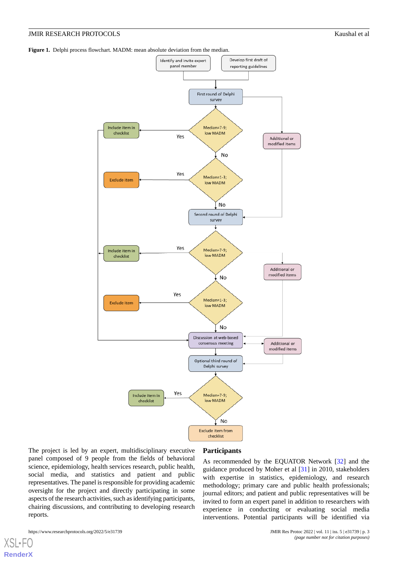<span id="page-2-0"></span>**Figure 1.** Delphi process flowchart. MADM: mean absolute deviation from the median.



The project is led by an expert, multidisciplinary executive panel composed of 9 people from the fields of behavioral science, epidemiology, health services research, public health, social media, and statistics and patient and public representatives. The panel is responsible for providing academic oversight for the project and directly participating in some aspects of the research activities, such as identifying participants, chairing discussions, and contributing to developing research reports.

#### **Participants**

As recommended by the EQUATOR Network [\[32](#page-8-17)] and the guidance produced by Moher et al [[31\]](#page-8-16) in 2010, stakeholders with expertise in statistics, epidemiology, and research methodology; primary care and public health professionals; journal editors; and patient and public representatives will be invited to form an expert panel in addition to researchers with experience in conducting or evaluating social media interventions. Potential participants will be identified via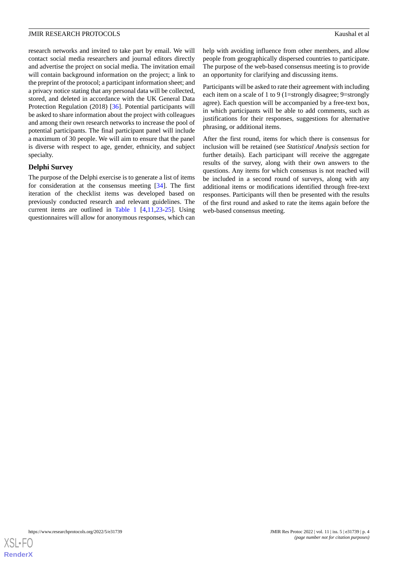research networks and invited to take part by email. We will contact social media researchers and journal editors directly and advertise the project on social media. The invitation email will contain background information on the project; a link to the preprint of the protocol; a participant information sheet; and a privacy notice stating that any personal data will be collected, stored, and deleted in accordance with the UK General Data Protection Regulation (2018) [[36\]](#page-9-3). Potential participants will be asked to share information about the project with colleagues and among their own research networks to increase the pool of potential participants. The final participant panel will include a maximum of 30 people. We will aim to ensure that the panel is diverse with respect to age, gender, ethnicity, and subject specialty.

## **Delphi Survey**

The purpose of the Delphi exercise is to generate a list of items for consideration at the consensus meeting [\[34](#page-9-1)]. The first iteration of the checklist items was developed based on previously conducted research and relevant guidelines. The current items are outlined in [Table 1](#page-4-0) [\[4](#page-7-3),[11,](#page-8-4)[23](#page-8-11)[-25](#page-8-18)]. Using questionnaires will allow for anonymous responses, which can

help with avoiding influence from other members, and allow people from geographically dispersed countries to participate. The purpose of the web-based consensus meeting is to provide an opportunity for clarifying and discussing items.

Participants will be asked to rate their agreement with including each item on a scale of 1 to 9 (1=strongly disagree; 9=strongly agree). Each question will be accompanied by a free-text box, in which participants will be able to add comments, such as justifications for their responses, suggestions for alternative phrasing, or additional items.

After the first round, items for which there is consensus for inclusion will be retained (see *Statistical Analysis* section for further details). Each participant will receive the aggregate results of the survey, along with their own answers to the questions. Any items for which consensus is not reached will be included in a second round of surveys, along with any additional items or modifications identified through free-text responses. Participants will then be presented with the results of the first round and asked to rate the items again before the web-based consensus meeting.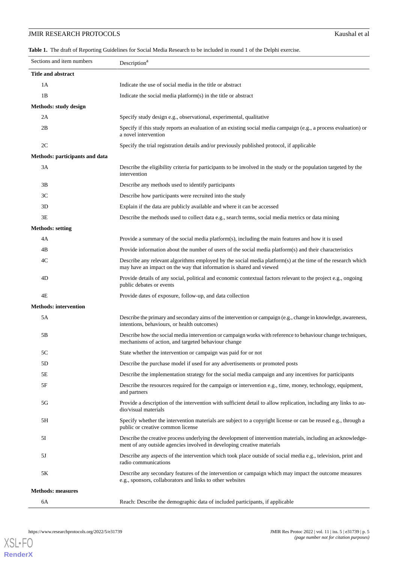## **JMIR RESEARCH PROTOCOLS** Kaushal et al

<span id="page-4-0"></span>**Table 1.** The draft of Reporting Guidelines for Social Media Research to be included in round 1 of the Delphi exercise.

| Sections and item numbers      | Description <sup>a</sup>                                                                                                                                                                |
|--------------------------------|-----------------------------------------------------------------------------------------------------------------------------------------------------------------------------------------|
| Title and abstract             |                                                                                                                                                                                         |
| 1A                             | Indicate the use of social media in the title or abstract                                                                                                                               |
| 1B                             | Indicate the social media platform(s) in the title or abstract                                                                                                                          |
| Methods: study design          |                                                                                                                                                                                         |
| 2A                             | Specify study design e.g., observational, experimental, qualitative                                                                                                                     |
| 2B                             | Specify if this study reports an evaluation of an existing social media campaign (e.g., a process evaluation) or<br>a novel intervention                                                |
| 2C                             | Specify the trial registration details and/or previously published protocol, if applicable                                                                                              |
| Methods: participants and data |                                                                                                                                                                                         |
| 3A                             | Describe the eligibility criteria for participants to be involved in the study or the population targeted by the<br>intervention                                                        |
| 3B                             | Describe any methods used to identify participants                                                                                                                                      |
| 3 <sup>C</sup>                 | Describe how participants were recruited into the study                                                                                                                                 |
| 3D                             | Explain if the data are publicly available and where it can be accessed                                                                                                                 |
| 3E                             | Describe the methods used to collect data e.g., search terms, social media metrics or data mining                                                                                       |
| <b>Methods: setting</b>        |                                                                                                                                                                                         |
| 4A                             | Provide a summary of the social media platform(s), including the main features and how it is used                                                                                       |
| 4B                             | Provide information about the number of users of the social media platform(s) and their characteristics                                                                                 |
| 4C                             | Describe any relevant algorithms employed by the social media platform(s) at the time of the research which<br>may have an impact on the way that information is shared and viewed      |
| 4D                             | Provide details of any social, political and economic contextual factors relevant to the project e.g., ongoing<br>public debates or events                                              |
| 4E                             | Provide dates of exposure, follow-up, and data collection                                                                                                                               |
| <b>Methods: intervention</b>   |                                                                                                                                                                                         |
| 5A                             | Describe the primary and secondary aims of the intervention or campaign (e.g., change in knowledge, awareness,<br>intentions, behaviours, or health outcomes)                           |
| 5B                             | Describe how the social media intervention or campaign works with reference to behaviour change techniques,<br>mechanisms of action, and targeted behaviour change                      |
| 5C                             | State whether the intervention or campaign was paid for or not                                                                                                                          |
| 5D                             | Describe the purchase model if used for any advertisements or promoted posts                                                                                                            |
| 5E                             | Describe the implementation strategy for the social media campaign and any incentives for participants                                                                                  |
| 5F                             | Describe the resources required for the campaign or intervention e.g., time, money, technology, equipment,<br>and partners                                                              |
| 5G                             | Provide a description of the intervention with sufficient detail to allow replication, including any links to au-<br>dio/visual materials                                               |
| 5H                             | Specify whether the intervention materials are subject to a copyright license or can be reused e.g., through a<br>public or creative common license                                     |
| 5I                             | Describe the creative process underlying the development of intervention materials, including an acknowledge-<br>ment of any outside agencies involved in developing creative materials |
| 5J                             | Describe any aspects of the intervention which took place outside of social media e.g., television, print and<br>radio communications                                                   |
| 5K                             | Describe any secondary features of the intervention or campaign which may impact the outcome measures<br>e.g., sponsors, collaborators and links to other websites                      |
| <b>Methods: measures</b>       |                                                                                                                                                                                         |
| 6A                             | Reach: Describe the demographic data of included participants, if applicable                                                                                                            |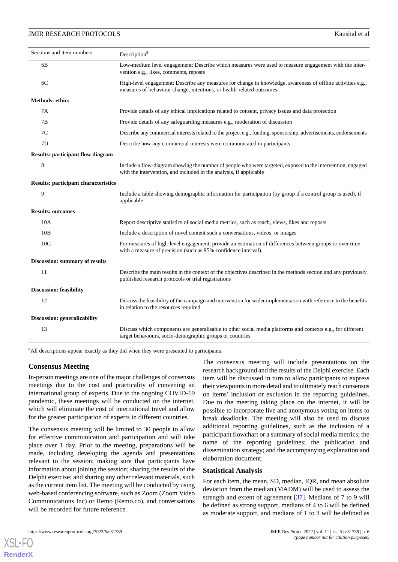| Sections and item numbers                   | Description <sup>a</sup>                                                                                                                                                             |
|---------------------------------------------|--------------------------------------------------------------------------------------------------------------------------------------------------------------------------------------|
| 6B                                          | Low-medium level engagement: Describe which measures were used to measure engagement with the inter-<br>vention e.g., likes, comments, reposts                                       |
| 6C                                          | High-level engagement: Describe any measures for change in knowledge, awareness of offline activities e.g.,<br>measures of behaviour change, intentions, or health-related outcomes. |
| <b>Methods: ethics</b>                      |                                                                                                                                                                                      |
| 7A                                          | Provide details of any ethical implications related to consent, privacy issues and data protection                                                                                   |
| 7В                                          | Provide details of any safeguarding measures e.g., moderation of discussion                                                                                                          |
| 7C                                          | Describe any commercial interests related to the project e.g., funding, sponsorship, advertisements, endorsements                                                                    |
| 7D                                          | Describe how any commercial interests were communicated to participants                                                                                                              |
| <b>Results: participant flow diagram</b>    |                                                                                                                                                                                      |
| 8                                           | Include a flow-diagram showing the number of people who were targeted, exposed to the intervention, engaged<br>with the intervention, and included in the analysis, if applicable    |
| <b>Results: participant characteristics</b> |                                                                                                                                                                                      |
| 9                                           | Include a table showing demographic information for participation (by group if a control group is used), if<br>applicable                                                            |
| <b>Results: outcomes</b>                    |                                                                                                                                                                                      |
| 10A                                         | Report descriptive statistics of social media metrics, such as reach, views, likes and reposts                                                                                       |
| 10B                                         | Include a description of novel content such a conversations, videos, or images                                                                                                       |
| 10 <sub>C</sub>                             | For measures of high-level engagement, provide an estimation of differences between groups or over time<br>with a measure of precision (such as 95% confidence interval).            |
| Discussion: summary of results              |                                                                                                                                                                                      |
| 11                                          | Describe the main results in the context of the objectives described in the methods section and any previously<br>published research protocols or trial registrations                |
| <b>Discussion: feasibility</b>              |                                                                                                                                                                                      |
| 12                                          | Discuss the feasibility of the campaign and intervention for wider implementation with reference to the benefits<br>in relation to the resources required                            |
| <b>Discussion: generalizability</b>         |                                                                                                                                                                                      |
| 13                                          | Discuss which components are generalisable to other social media platforms and contexts e.g., for different<br>target behaviours, socio-demographic groups or countries              |

<sup>a</sup>All descriptions appear exactly as they did when they were presented to participants.

#### **Consensus Meeting**

In-person meetings are one of the major challenges of consensus meetings due to the cost and practicality of convening an international group of experts. Due to the ongoing COVID-19 pandemic, these meetings will be conducted on the internet, which will eliminate the cost of international travel and allow for the greater participation of experts in different countries.

The consensus meeting will be limited to 30 people to allow for effective communication and participation and will take place over 1 day. Prior to the meeting, preparations will be made, including developing the agenda and presentations relevant to the session; making sure that participants have information about joining the session; sharing the results of the Delphi exercise; and sharing any other relevant materials, such as the current item list. The meeting will be conducted by using web-based conferencing software, such as Zoom (Zoom Video Communications Inc) or Remo (Remo.co), and conversations will be recorded for future reference.

The consensus meeting will include presentations on the research background and the results of the Delphi exercise. Each item will be discussed in turn to allow participants to express their viewpoints in more detail and to ultimately reach consensus on items' inclusion or exclusion in the reporting guidelines. Due to the meeting taking place on the internet, it will be possible to incorporate live and anonymous voting on items to break deadlocks. The meeting will also be used to discuss additional reporting guidelines, such as the inclusion of a participant flowchart or a summary of social media metrics; the name of the reporting guidelines; the publication and dissemination strategy; and the accompanying explanation and elaboration document.

#### **Statistical Analysis**

For each item, the mean, SD, median, IQR, and mean absolute deviation from the median (MADM) will be used to assess the strength and extent of agreement [[37\]](#page-9-4). Medians of 7 to 9 will be defined as strong support, medians of 4 to 6 will be defined as moderate support, and medians of 1 to 3 will be defined as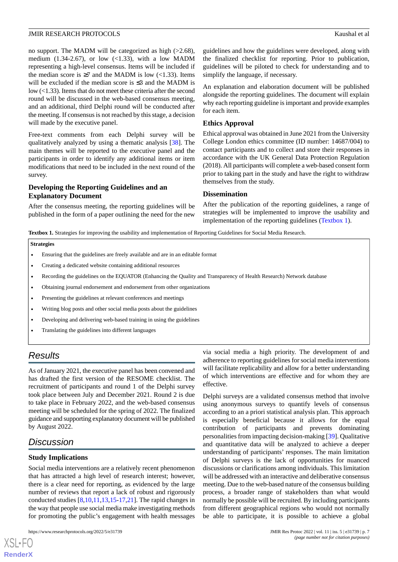no support. The MADM will be categorized as high (>2.68), medium (1.34-2.67), or low  $(\langle 1.33 \rangle)$ , with a low MADM representing a high-level consensus. Items will be included if the median score is  $\geq 7$  and the MADM is low (<1.33). Items will be excluded if the median score is ≤3 and the MADM is low (<1.33). Items that do not meet these criteria after the second round will be discussed in the web-based consensus meeting, and an additional, third Delphi round will be conducted after the meeting. If consensus is not reached by this stage, a decision will made by the executive panel.

Free-text comments from each Delphi survey will be qualitatively analyzed by using a thematic analysis [[38\]](#page-9-5). The main themes will be reported to the executive panel and the participants in order to identify any additional items or item modifications that need to be included in the next round of the survey.

## **Developing the Reporting Guidelines and an Explanatory Document**

<span id="page-6-0"></span>After the consensus meeting, the reporting guidelines will be published in the form of a paper outlining the need for the new guidelines and how the guidelines were developed, along with the finalized checklist for reporting. Prior to publication, guidelines will be piloted to check for understanding and to simplify the language, if necessary.

An explanation and elaboration document will be published alongside the reporting guidelines. The document will explain why each reporting guideline is important and provide examples for each item.

## **Ethics Approval**

Ethical approval was obtained in June 2021 from the University College London ethics committee (ID number: 14687/004) to contact participants and to collect and store their responses in accordance with the UK General Data Protection Regulation (2018). All participants will complete a web-based consent form prior to taking part in the study and have the right to withdraw themselves from the study.

## **Dissemination**

After the publication of the reporting guidelines, a range of strategies will be implemented to improve the usability and implementation of the reporting guidelines ([Textbox 1](#page-6-0)).

**Textbox 1.** Strategies for improving the usability and implementation of Reporting Guidelines for Social Media Research.

#### **Strategies**

- Ensuring that the guidelines are freely available and are in an editable format
- Creating a dedicated website containing additional resources
- Recording the guidelines on the EQUATOR (Enhancing the Quality and Transparency of Health Research) Network database
- Obtaining journal endorsement and endorsement from other organizations
- Presenting the guidelines at relevant conferences and meetings
- Writing blog posts and other social media posts about the guidelines
- Developing and delivering web-based training in using the guidelines
- Translating the guidelines into different languages

# *Results*

As of January 2021, the executive panel has been convened and has drafted the first version of the RESOME checklist. The recruitment of participants and round 1 of the Delphi survey took place between July and December 2021. Round 2 is due to take place in February 2022, and the web-based consensus meeting will be scheduled for the spring of 2022. The finalized guidance and supporting explanatory document will be published by August 2022.

# *Discussion*

 $XS$  $\cdot$ FC **[RenderX](http://www.renderx.com/)**

## **Study Implications**

Social media interventions are a relatively recent phenomenon that has attracted a high level of research interest; however, there is a clear need for reporting, as evidenced by the large number of reviews that report a lack of robust and rigorously conducted studies [\[8](#page-7-8),[10](#page-7-7)[,11](#page-8-4),[13](#page-8-5)[,15](#page-8-6)-[17](#page-8-8)[,21](#page-8-9)]. The rapid changes in the way that people use social media make investigating methods for promoting the public's engagement with health messages via social media a high priority. The development of and adherence to reporting guidelines for social media interventions will facilitate replicability and allow for a better understanding of which interventions are effective and for whom they are effective.

Delphi surveys are a validated consensus method that involve using anonymous surveys to quantify levels of consensus according to an a priori statistical analysis plan. This approach is especially beneficial because it allows for the equal contribution of participants and prevents dominating personalities from impacting decision-making [\[39](#page-9-6)]. Qualitative and quantitative data will be analyzed to achieve a deeper understanding of participants' responses. The main limitation of Delphi surveys is the lack of opportunities for nuanced discussions or clarifications among individuals. This limitation will be addressed with an interactive and deliberative consensus meeting. Due to the web-based nature of the consensus building process, a broader range of stakeholders than what would normally be possible will be recruited. By including participants from different geographical regions who would not normally be able to participate, it is possible to achieve a global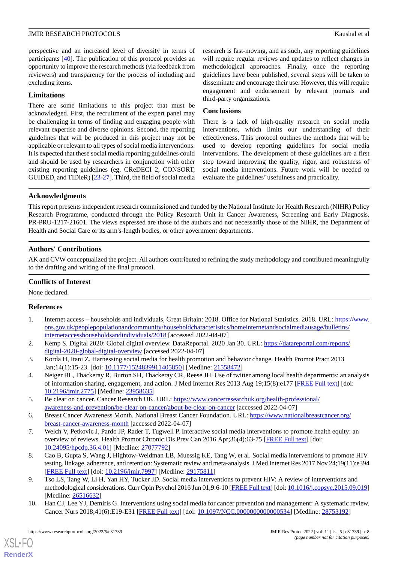perspective and an increased level of diversity in terms of participants [\[40](#page-9-7)]. The publication of this protocol provides an opportunity to improve the research methods (via feedback from reviewers) and transparency for the process of including and excluding items.

## **Limitations**

There are some limitations to this project that must be acknowledged. First, the recruitment of the expert panel may be challenging in terms of finding and engaging people with relevant expertise and diverse opinions. Second, the reporting guidelines that will be produced in this project may not be applicable or relevant to all types of social media interventions. It is expected that these social media reporting guidelines could and should be used by researchers in conjunction with other existing reporting guidelines (eg, CReDECI 2, CONSORT, GUIDED, and TIDieR) [\[23](#page-8-11)-[27\]](#page-8-12). Third, the field of social media research is fast-moving, and as such, any reporting guidelines will require regular reviews and updates to reflect changes in methodological approaches. Finally, once the reporting guidelines have been published, several steps will be taken to disseminate and encourage their use. However, this will require engagement and endorsement by relevant journals and third-party organizations.

## **Conclusions**

There is a lack of high-quality research on social media interventions, which limits our understanding of their effectiveness. This protocol outlines the methods that will be used to develop reporting guidelines for social media interventions. The development of these guidelines are a first step toward improving the quality, rigor, and robustness of social media interventions. Future work will be needed to evaluate the guidelines' usefulness and practicality.

## **Acknowledgments**

This report presents independent research commissioned and funded by the National Institute for Health Research (NIHR) Policy Research Programme, conducted through the Policy Research Unit in Cancer Awareness, Screening and Early Diagnosis, PR-PRU-1217-21601. The views expressed are those of the authors and not necessarily those of the NIHR, the Department of Health and Social Care or its arm's-length bodies, or other government departments.

## **Authors' Contributions**

AK and CVW conceptualized the project. All authors contributed to refining the study methodology and contributed meaningfully to the drafting and writing of the final protocol.

## **Conflicts of Interest**

<span id="page-7-0"></span>None declared.

## <span id="page-7-1"></span>**References**

- <span id="page-7-2"></span>1. Internet access – households and individuals, Great Britain: 2018. Office for National Statistics. 2018. URL: [https://www.](https://www.ons.gov.uk/peoplepopulationandcommunity/householdcharacteristics/homeinternetandsocialmediausage/bulletins/internetaccesshouseholdsandindividuals/2018) [ons.gov.uk/peoplepopulationandcommunity/householdcharacteristics/homeinternetandsocialmediausage/bulletins/](https://www.ons.gov.uk/peoplepopulationandcommunity/householdcharacteristics/homeinternetandsocialmediausage/bulletins/internetaccesshouseholdsandindividuals/2018) [internetaccesshouseholdsandindividuals/2018](https://www.ons.gov.uk/peoplepopulationandcommunity/householdcharacteristics/homeinternetandsocialmediausage/bulletins/internetaccesshouseholdsandindividuals/2018) [accessed 2022-04-07]
- <span id="page-7-3"></span>2. Kemp S. Digital 2020: Global digital overview. DataReportal. 2020 Jan 30. URL: [https://datareportal.com/reports/](https://datareportal.com/reports/digital-2020-global-digital-overview) [digital-2020-global-digital-overview](https://datareportal.com/reports/digital-2020-global-digital-overview) [accessed 2022-04-07]
- <span id="page-7-4"></span>3. Korda H, Itani Z. Harnessing social media for health promotion and behavior change. Health Promot Pract 2013 Jan;14(1):15-23. [doi: [10.1177/1524839911405850](http://dx.doi.org/10.1177/1524839911405850)] [Medline: [21558472\]](http://www.ncbi.nlm.nih.gov/entrez/query.fcgi?cmd=Retrieve&db=PubMed&list_uids=21558472&dopt=Abstract)
- <span id="page-7-5"></span>4. Neiger BL, Thackeray R, Burton SH, Thackeray CR, Reese JH. Use of twitter among local health departments: an analysis of information sharing, engagement, and action. J Med Internet Res 2013 Aug 19;15(8):e177 [\[FREE Full text\]](https://www.jmir.org/2013/8/e177/) [doi: [10.2196/jmir.2775](http://dx.doi.org/10.2196/jmir.2775)] [Medline: [23958635](http://www.ncbi.nlm.nih.gov/entrez/query.fcgi?cmd=Retrieve&db=PubMed&list_uids=23958635&dopt=Abstract)]
- <span id="page-7-6"></span>5. Be clear on cancer. Cancer Research UK. URL: [https://www.cancerresearchuk.org/health-professional/](https://www.cancerresearchuk.org/health-professional/awareness-and-prevention/be-clear-on-cancer/about-be-clear-on-cancer) [awareness-and-prevention/be-clear-on-cancer/about-be-clear-on-cancer](https://www.cancerresearchuk.org/health-professional/awareness-and-prevention/be-clear-on-cancer/about-be-clear-on-cancer) [accessed 2022-04-07]
- <span id="page-7-8"></span>6. Breast Cancer Awareness Month. National Breast Cancer Foundation. URL: [https://www.nationalbreastcancer.org/](https://www.nationalbreastcancer.org/breast-cancer-awareness-month) [breast-cancer-awareness-month](https://www.nationalbreastcancer.org/breast-cancer-awareness-month) [accessed 2022-04-07]
- 7. Welch V, Petkovic J, Pardo JP, Rader T, Tugwell P. Interactive social media interventions to promote health equity: an overview of reviews. Health Promot Chronic Dis Prev Can 2016 Apr;36(4):63-75 [[FREE Full text](https://doi.org/10.24095/hpcdp.36.4.01)] [doi: [10.24095/hpcdp.36.4.01\]](http://dx.doi.org/10.24095/hpcdp.36.4.01) [Medline: [27077792\]](http://www.ncbi.nlm.nih.gov/entrez/query.fcgi?cmd=Retrieve&db=PubMed&list_uids=27077792&dopt=Abstract)
- <span id="page-7-7"></span>8. Cao B, Gupta S, Wang J, Hightow-Weidman LB, Muessig KE, Tang W, et al. Social media interventions to promote HIV testing, linkage, adherence, and retention: Systematic review and meta-analysis. J Med Internet Res 2017 Nov 24;19(11):e394 [[FREE Full text](https://www.jmir.org/2017/11/e394/)] [doi: [10.2196/jmir.7997](http://dx.doi.org/10.2196/jmir.7997)] [Medline: [29175811](http://www.ncbi.nlm.nih.gov/entrez/query.fcgi?cmd=Retrieve&db=PubMed&list_uids=29175811&dopt=Abstract)]
- 9. Tso LS, Tang W, Li H, Yan HY, Tucker JD. Social media interventions to prevent HIV: A review of interventions and methodological considerations. Curr Opin Psychol 2016 Jun 01;9:6-10 [\[FREE Full text\]](http://europepmc.org/abstract/MED/26516632) [doi: [10.1016/j.copsyc.2015.09.019\]](http://dx.doi.org/10.1016/j.copsyc.2015.09.019) [Medline: [26516632](http://www.ncbi.nlm.nih.gov/entrez/query.fcgi?cmd=Retrieve&db=PubMed&list_uids=26516632&dopt=Abstract)]
- 10. Han CJ, Lee YJ, Demiris G. Interventions using social media for cancer prevention and management: A systematic review. Cancer Nurs 2018;41(6):E19-E31 [[FREE Full text](http://europepmc.org/abstract/MED/28753192)] [doi: [10.1097/NCC.0000000000000534\]](http://dx.doi.org/10.1097/NCC.0000000000000534) [Medline: [28753192\]](http://www.ncbi.nlm.nih.gov/entrez/query.fcgi?cmd=Retrieve&db=PubMed&list_uids=28753192&dopt=Abstract)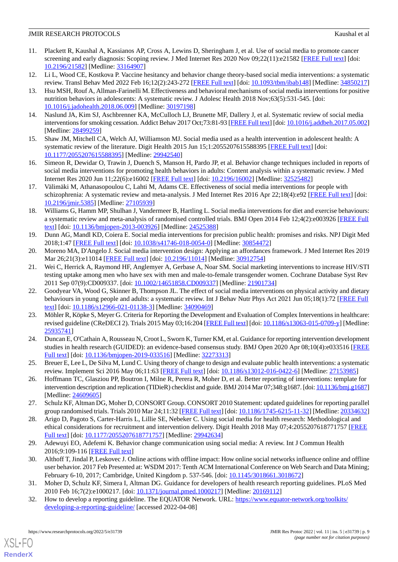- <span id="page-8-4"></span>11. Plackett R, Kaushal A, Kassianos AP, Cross A, Lewins D, Sheringham J, et al. Use of social media to promote cancer screening and early diagnosis: Scoping review. J Med Internet Res 2020 Nov 09;22(11):e21582 [\[FREE Full text](https://www.jmir.org/2020/11/e21582/)] [doi: [10.2196/21582\]](http://dx.doi.org/10.2196/21582) [Medline: [33164907\]](http://www.ncbi.nlm.nih.gov/entrez/query.fcgi?cmd=Retrieve&db=PubMed&list_uids=33164907&dopt=Abstract)
- <span id="page-8-5"></span>12. Li L, Wood CE, Kostkova P. Vaccine hesitancy and behavior change theory-based social media interventions: a systematic review. Transl Behav Med 2022 Feb 16;12(2):243-272 [\[FREE Full text](http://europepmc.org/abstract/MED/34850217)] [doi: [10.1093/tbm/ibab148\]](http://dx.doi.org/10.1093/tbm/ibab148) [Medline: [34850217](http://www.ncbi.nlm.nih.gov/entrez/query.fcgi?cmd=Retrieve&db=PubMed&list_uids=34850217&dopt=Abstract)]
- 13. Hsu MSH, Rouf A, Allman-Farinelli M. Effectiveness and behavioral mechanisms of social media interventions for positive nutrition behaviors in adolescents: A systematic review. J Adolesc Health 2018 Nov;63(5):531-545. [doi: [10.1016/j.jadohealth.2018.06.009](http://dx.doi.org/10.1016/j.jadohealth.2018.06.009)] [Medline: [30197198](http://www.ncbi.nlm.nih.gov/entrez/query.fcgi?cmd=Retrieve&db=PubMed&list_uids=30197198&dopt=Abstract)]
- <span id="page-8-6"></span><span id="page-8-1"></span>14. Naslund JA, Kim SJ, Aschbrenner KA, McCulloch LJ, Brunette MF, Dallery J, et al. Systematic review of social media interventions for smoking cessation. Addict Behav 2017 Oct;73:81-93 [[FREE Full text\]](http://europepmc.org/abstract/MED/28499259) [doi: [10.1016/j.addbeh.2017.05.002\]](http://dx.doi.org/10.1016/j.addbeh.2017.05.002) [Medline: [28499259](http://www.ncbi.nlm.nih.gov/entrez/query.fcgi?cmd=Retrieve&db=PubMed&list_uids=28499259&dopt=Abstract)]
- <span id="page-8-7"></span>15. Shaw JM, Mitchell CA, Welch AJ, Williamson MJ. Social media used as a health intervention in adolescent health: A systematic review of the literature. Digit Health 2015 Jun 15;1:2055207615588395 [[FREE Full text](https://journals.sagepub.com/doi/10.1177/2055207615588395?url_ver=Z39.88-2003&rfr_id=ori:rid:crossref.org&rfr_dat=cr_pub%3dpubmed)] [doi: [10.1177/2055207615588395\]](http://dx.doi.org/10.1177/2055207615588395) [Medline: [29942540\]](http://www.ncbi.nlm.nih.gov/entrez/query.fcgi?cmd=Retrieve&db=PubMed&list_uids=29942540&dopt=Abstract)
- <span id="page-8-8"></span>16. Simeon R, Dewidar O, Trawin J, Duench S, Manson H, Pardo JP, et al. Behavior change techniques included in reports of social media interventions for promoting health behaviors in adults: Content analysis within a systematic review. J Med Internet Res 2020 Jun 11;22(6):e16002 [\[FREE Full text](https://www.jmir.org/2020/6/e16002/)] [doi: [10.2196/16002\]](http://dx.doi.org/10.2196/16002) [Medline: [32525482\]](http://www.ncbi.nlm.nih.gov/entrez/query.fcgi?cmd=Retrieve&db=PubMed&list_uids=32525482&dopt=Abstract)
- <span id="page-8-0"></span>17. Välimäki M, Athanasopoulou C, Lahti M, Adams CE. Effectiveness of social media interventions for people with schizophrenia: A systematic review and meta-analysis. J Med Internet Res 2016 Apr 22;18(4):e92 [\[FREE Full text\]](https://www.jmir.org/2016/4/e92/) [doi: [10.2196/jmir.5385](http://dx.doi.org/10.2196/jmir.5385)] [Medline: [27105939](http://www.ncbi.nlm.nih.gov/entrez/query.fcgi?cmd=Retrieve&db=PubMed&list_uids=27105939&dopt=Abstract)]
- <span id="page-8-2"></span>18. Williams G, Hamm MP, Shulhan J, Vandermeer B, Hartling L. Social media interventions for diet and exercise behaviours: a systematic review and meta-analysis of randomised controlled trials. BMJ Open 2014 Feb 12;4(2):e003926 [\[FREE Full](https://bmjopen.bmj.com/lookup/pmidlookup?view=long&pmid=24525388) [text](https://bmjopen.bmj.com/lookup/pmidlookup?view=long&pmid=24525388)] [doi: [10.1136/bmjopen-2013-003926\]](http://dx.doi.org/10.1136/bmjopen-2013-003926) [Medline: [24525388](http://www.ncbi.nlm.nih.gov/entrez/query.fcgi?cmd=Retrieve&db=PubMed&list_uids=24525388&dopt=Abstract)]
- <span id="page-8-9"></span><span id="page-8-3"></span>19. Dunn AG, Mandl KD, Coiera E. Social media interventions for precision public health: promises and risks. NPJ Digit Med 2018;1:47 [[FREE Full text](https://doi.org/10.1038/s41746-018-0054-0)] [doi: [10.1038/s41746-018-0054-0\]](http://dx.doi.org/10.1038/s41746-018-0054-0) [Medline: [30854472](http://www.ncbi.nlm.nih.gov/entrez/query.fcgi?cmd=Retrieve&db=PubMed&list_uids=30854472&dopt=Abstract)]
- 20. Moreno MA, D'Angelo J. Social media intervention design: Applying an affordances framework. J Med Internet Res 2019 Mar 26;21(3):e11014 [\[FREE Full text\]](https://www.jmir.org/2019/3/e11014/) [doi: [10.2196/11014](http://dx.doi.org/10.2196/11014)] [Medline: [30912754\]](http://www.ncbi.nlm.nih.gov/entrez/query.fcgi?cmd=Retrieve&db=PubMed&list_uids=30912754&dopt=Abstract)
- <span id="page-8-10"></span>21. Wei C, Herrick A, Raymond HF, Anglemyer A, Gerbase A, Noar SM. Social marketing interventions to increase HIV/STI testing uptake among men who have sex with men and male-to-female transgender women. Cochrane Database Syst Rev 2011 Sep 07(9):CD009337. [doi: [10.1002/14651858.CD009337\]](http://dx.doi.org/10.1002/14651858.CD009337) [Medline: [21901734\]](http://www.ncbi.nlm.nih.gov/entrez/query.fcgi?cmd=Retrieve&db=PubMed&list_uids=21901734&dopt=Abstract)
- <span id="page-8-11"></span>22. Goodyear VA, Wood G, Skinner B, Thompson JL. The effect of social media interventions on physical activity and dietary behaviours in young people and adults: a systematic review. Int J Behav Nutr Phys Act 2021 Jun 05;18(1):72 [[FREE Full](https://ijbnpa.biomedcentral.com/articles/10.1186/s12966-021-01138-3) [text](https://ijbnpa.biomedcentral.com/articles/10.1186/s12966-021-01138-3)] [doi: [10.1186/s12966-021-01138-3\]](http://dx.doi.org/10.1186/s12966-021-01138-3) [Medline: [34090469\]](http://www.ncbi.nlm.nih.gov/entrez/query.fcgi?cmd=Retrieve&db=PubMed&list_uids=34090469&dopt=Abstract)
- <span id="page-8-18"></span>23. Möhler R, Köpke S, Meyer G. Criteria for Reporting the Development and Evaluation of Complex Interventions in healthcare: revised guideline (CReDECI 2). Trials 2015 May 03;16:204 [\[FREE Full text\]](https://trialsjournal.biomedcentral.com/articles/10.1186/s13063-015-0709-y) [doi: [10.1186/s13063-015-0709-y](http://dx.doi.org/10.1186/s13063-015-0709-y)] [Medline: [25935741](http://www.ncbi.nlm.nih.gov/entrez/query.fcgi?cmd=Retrieve&db=PubMed&list_uids=25935741&dopt=Abstract)]
- 24. Duncan E, O'Cathain A, Rousseau N, Croot L, Sworn K, Turner KM, et al. Guidance for reporting intervention development studies in health research (GUIDED): an evidence-based consensus study. BMJ Open 2020 Apr 08;10(4):e033516 [\[FREE](https://bmjopen.bmj.com/lookup/pmidlookup?view=long&pmid=32273313) [Full text\]](https://bmjopen.bmj.com/lookup/pmidlookup?view=long&pmid=32273313) [doi: [10.1136/bmjopen-2019-033516](http://dx.doi.org/10.1136/bmjopen-2019-033516)] [Medline: [32273313\]](http://www.ncbi.nlm.nih.gov/entrez/query.fcgi?cmd=Retrieve&db=PubMed&list_uids=32273313&dopt=Abstract)
- <span id="page-8-12"></span>25. Breuer E, Lee L, De Silva M, Lund C. Using theory of change to design and evaluate public health interventions: a systematic review. Implement Sci 2016 May 06;11:63 [\[FREE Full text\]](https://implementationscience.biomedcentral.com/articles/10.1186/s13012-016-0422-6) [doi: [10.1186/s13012-016-0422-6](http://dx.doi.org/10.1186/s13012-016-0422-6)] [Medline: [27153985\]](http://www.ncbi.nlm.nih.gov/entrez/query.fcgi?cmd=Retrieve&db=PubMed&list_uids=27153985&dopt=Abstract)
- <span id="page-8-13"></span>26. Hoffmann TC, Glasziou PP, Boutron I, Milne R, Perera R, Moher D, et al. Better reporting of interventions: template for intervention description and replication (TIDieR) checklist and guide. BMJ 2014 Mar 07;348:g1687. [doi: [10.1136/bmj.g1687](http://dx.doi.org/10.1136/bmj.g1687)] [Medline: [24609605](http://www.ncbi.nlm.nih.gov/entrez/query.fcgi?cmd=Retrieve&db=PubMed&list_uids=24609605&dopt=Abstract)]
- <span id="page-8-14"></span>27. Schulz KF, Altman DG, Moher D, CONSORT Group. CONSORT 2010 Statement: updated guidelines for reporting parallel group randomised trials. Trials 2010 Mar 24;11:32 [[FREE Full text](https://trialsjournal.biomedcentral.com/articles/10.1186/1745-6215-11-32)] [doi: [10.1186/1745-6215-11-32\]](http://dx.doi.org/10.1186/1745-6215-11-32) [Medline: [20334632](http://www.ncbi.nlm.nih.gov/entrez/query.fcgi?cmd=Retrieve&db=PubMed&list_uids=20334632&dopt=Abstract)]
- <span id="page-8-15"></span>28. Arigo D, Pagoto S, Carter-Harris L, Lillie SE, Nebeker C. Using social media for health research: Methodological and ethical considerations for recruitment and intervention delivery. Digit Health 2018 May 07;4:2055207618771757 [[FREE](https://journals.sagepub.com/doi/10.1177/2055207618771757?url_ver=Z39.88-2003&rfr_id=ori:rid:crossref.org&rfr_dat=cr_pub%3dpubmed) [Full text\]](https://journals.sagepub.com/doi/10.1177/2055207618771757?url_ver=Z39.88-2003&rfr_id=ori:rid:crossref.org&rfr_dat=cr_pub%3dpubmed) [doi: [10.1177/2055207618771757](http://dx.doi.org/10.1177/2055207618771757)] [Medline: [29942634](http://www.ncbi.nlm.nih.gov/entrez/query.fcgi?cmd=Retrieve&db=PubMed&list_uids=29942634&dopt=Abstract)]
- <span id="page-8-17"></span><span id="page-8-16"></span>29. Adewuyi EO, Adefemi K. Behavior change communication using social media: A review. Int J Commun Health 2016;9:109-116 [\[FREE Full text\]](http://communicationandhealth.ro/upload/number9/EMMANUEL-O-ADEWUYI.pdf)
- 30. Althoff T, Jindal P, Leskovec J. Online actions with offline impact: How online social networks influence online and offline user behavior. 2017 Feb Presented at: WSDM 2017: Tenth ACM International Conference on Web Search and Data Mining; February 6-10, 2017; Cambridge, United Kingdom p. 537-546. [doi: [10.1145/3018661.3018672\]](http://dx.doi.org/10.1145/3018661.3018672)
- 31. Moher D, Schulz KF, Simera I, Altman DG. Guidance for developers of health research reporting guidelines. PLoS Med 2010 Feb 16;7(2):e1000217. [doi: [10.1371/journal.pmed.1000217](http://dx.doi.org/10.1371/journal.pmed.1000217)] [Medline: [20169112](http://www.ncbi.nlm.nih.gov/entrez/query.fcgi?cmd=Retrieve&db=PubMed&list_uids=20169112&dopt=Abstract)]
- 32. How to develop a reporting guideline. The EQUATOR Network. URL: [https://www.equator-network.org/toolkits/](https://www.equator-network.org/toolkits/developing-a-reporting-guideline/) [developing-a-reporting-guideline/](https://www.equator-network.org/toolkits/developing-a-reporting-guideline/) [accessed 2022-04-08]